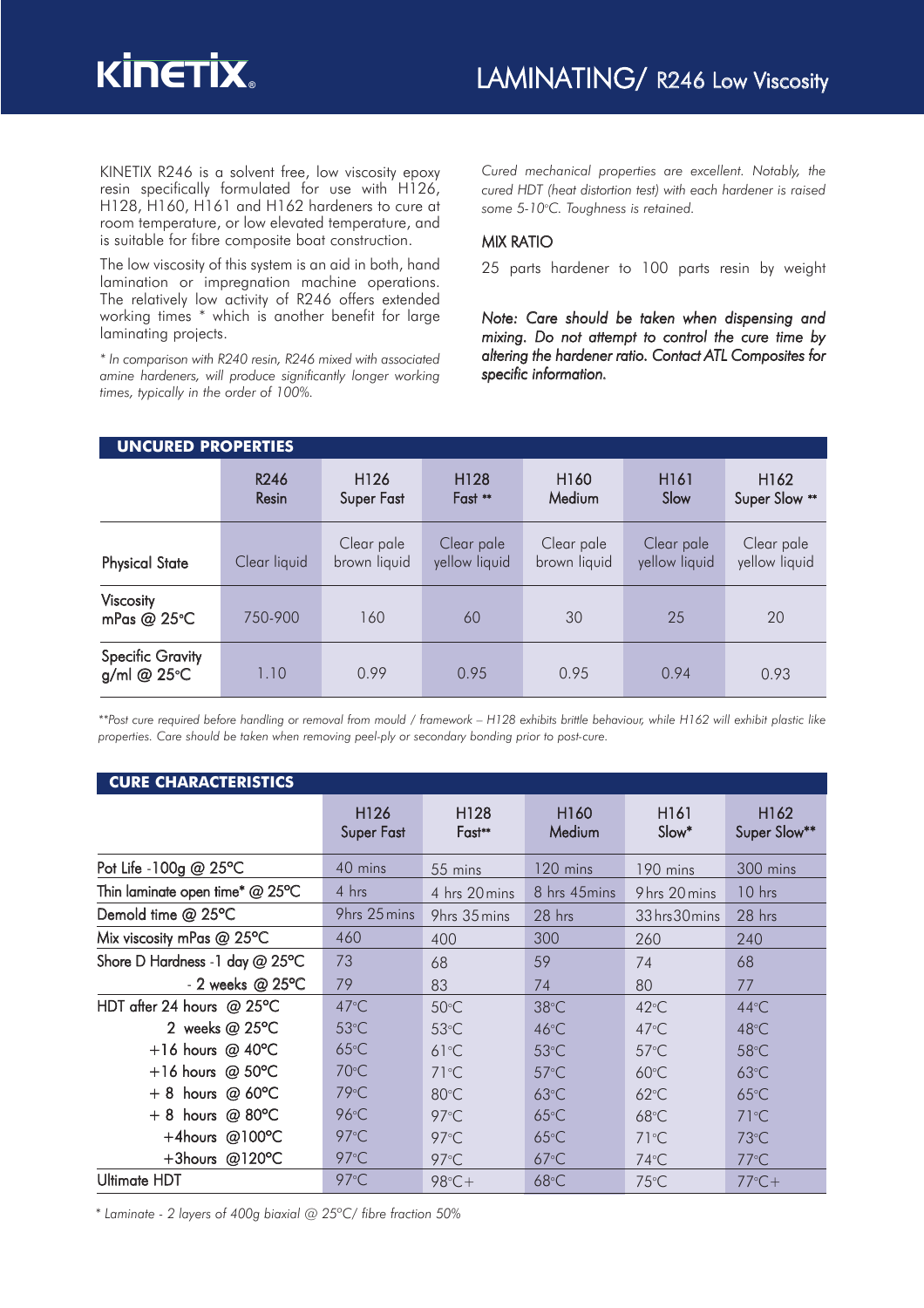

KINETIX R246 is a solvent free, low viscosity epoxy resin specifically formulated for use with H126, H128, H160, H161 and H162 hardeners to cure at room temperature, or low elevated temperature, and is suitable for fibre composite boat construction.

The low viscosity of this system is an aid in both, hand lamination or impregnation machine operations. The relatively low activity of R246 offers extended working times \* which is another benefit for large laminating projects.

*\* In comparison with R240 resin, R246 mixed with associated amine hardeners, will produce significantly longer working times, typically in the order of 100%.* 

*Cured mechanical properties are excellent. Notably, the cured HDT (heat distortion test) with each hardener is raised* some 5-10°C. Toughness is retained.

### MIX RATIO

25 parts hardener to 100 parts resin by weight

*Note: Care should be taken when dispensing and mixing. Do not attempt to control the cure time by altering the hardener ratio. Contact ATL Composites for specific information.*

| <b>UNCURED PROPERTIES</b>              |               |                                |                             |                            |                             |                                   |  |  |
|----------------------------------------|---------------|--------------------------------|-----------------------------|----------------------------|-----------------------------|-----------------------------------|--|--|
|                                        | R246<br>Resin | H <sub>126</sub><br>Super Fast | H128<br>Fast **             | H <sub>160</sub><br>Medium | H <sub>16</sub> 1<br>Slow   | H <sub>162</sub><br>Super Slow ** |  |  |
| <b>Physical State</b>                  | Clear liquid  | Clear pale<br>brown liquid     | Clear pale<br>yellow liquid | Clear pale<br>brown liquid | Clear pale<br>yellow liquid | Clear pale<br>yellow liquid       |  |  |
| Viscosity<br>mPas @ 25°C               | 750-900       | 160                            | 60                          | 30                         | 25                          | 20                                |  |  |
| <b>Specific Gravity</b><br>g/ml @ 25°C | 1.10          | 0.99                           | 0.95                        | 0.95                       | 0.94                        | 0.93                              |  |  |

\*\*Post cure required before handling or removal from mould / framework - H128 exhibits brittle behaviour, while H162 will exhibit plastic like *properties. Care should be taken when removing peel-ply or secondary bonding prior to post-cure.*

| <b>CURE CHARACTERISTICS</b>       |                                       |                            |                            |                           |                                  |  |  |
|-----------------------------------|---------------------------------------|----------------------------|----------------------------|---------------------------|----------------------------------|--|--|
|                                   | H <sub>126</sub><br><b>Super Fast</b> | H <sub>128</sub><br>Fast** | H <sub>160</sub><br>Medium | H <sub>161</sub><br>Slow* | H <sub>162</sub><br>Super Slow** |  |  |
| Pot Life - 100g @ 25°C            | 40 mins                               | 55 mins                    | 120 mins                   | 190 mins                  | 300 mins                         |  |  |
| Thin laminate open time* $@$ 25°C | 4 hrs                                 | 4 hrs 20 mins              | 8 hrs 45 mins              | 9 hrs 20 mins             | $10$ hrs                         |  |  |
| Demold time @ 25°C                | 9hrs 25 mins                          | 9hrs 35 mins               | 28 hrs                     | 33 hrs 30 mins            | 28 hrs                           |  |  |
| Mix viscosity mPas $@$ 25°C       | 460                                   | 400                        | 300                        | 260                       | 240                              |  |  |
| Shore D Hardness -1 day @ 25°C    | 73                                    | 68                         | 59                         | 74                        | 68                               |  |  |
| $-2$ weeks @ 25°C                 | 79                                    | 83                         | 74                         | 80                        | 77                               |  |  |
| HDT after 24 hours $@$ 25°C       | $47^{\circ}$ C                        | $50^{\circ}$ C             | $38^{\circ}$ C             | $42^{\circ}$ C            | $44^{\circ}$ C                   |  |  |
| 2 weeks $@25°C$                   | $53^{\circ}$ C                        | $53^{\circ}$ C             | 46°C                       | $47^{\circ}$ C            | $48^{\circ}$ C                   |  |  |
| +16 hours @ $40^{\circ}$ C        | $65^{\circ}$ C                        | $61^{\circ}C$              | $53^{\circ}$ C             | $57^{\circ}$ C            | $58^{\circ}$ C                   |  |  |
| $+16$ hours @ 50 $\degree$ C      | $70^{\circ}$ C                        | $71^{\circ}$ C             | $57^{\circ}$ C             | $60^{\circ}$ C            | $63^{\circ}$ C                   |  |  |
| hours $@$ 60 $°C$<br>$+8$         | $79^{\circ}$ C                        | $80^{\circ}$ C             | $63^{\circ}$ C             | $62^{\circ}$ C            | $65^{\circ}$ C                   |  |  |
| $+8$ hours @ 80°C                 | $96^{\circ}$ C                        | $97^{\circ}$ C             | $65^{\circ}$ C             | $68^{\circ}$ C            | $71^{\circ}$ C                   |  |  |
| $+4$ hours @100°C                 | $97^{\circ}$ C                        | $97^{\circ}$ C             | $65^{\circ}$ C             | $71^{\circ}$ C            | $73^{\circ}$ C                   |  |  |
| +3hours @120 $\degree$ C          | $97^{\circ}$ C                        | $97^{\circ}$ C             | $67^{\circ}$ C             | $74^{\circ}$ C            | $77^{\circ}$ C                   |  |  |
| <b>Ultimate HDT</b>               | 97°C                                  | $98^\circ C +$             | $68^{\circ}$ C             | $75^{\circ}$ C            | $77^{\circ}C+$                   |  |  |

*\* Laminate - 2 layers of 400g biaxial @ 25ºC/ fibre fraction 50%*